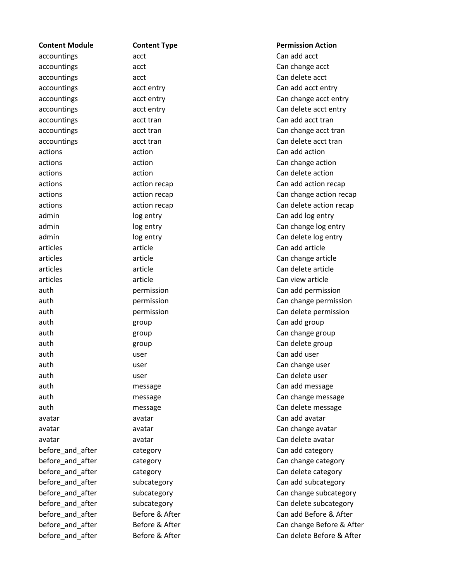| <b>Content Module</b> | <b>Content Type</b> | <b>Permission Action</b> |
|-----------------------|---------------------|--------------------------|
| accountings           | acct                | Can add acct             |
| accountings           | acct                | Can change acct          |
| accountings           | acct                | Can delete acct          |
| accountings           | acct entry          | Can add acct entry       |
| accountings           | acct entry          | Can change acct er       |
| accountings           | acct entry          | Can delete acct ent      |
| accountings           | acct tran           | Can add acct tran        |
| accountings           | acct tran           | Can change acct tra      |
| accountings           | acct tran           | Can delete acct tra      |
| actions               | action              | Can add action           |
| actions               | action              | Can change action        |
| actions               | action              | Can delete action        |
| actions               | action recap        | Can add action rec       |
| actions               | action recap        | Can change action        |
| actions               | action recap        | Can delete action r      |
| admin                 | log entry           | Can add log entry        |
| admin                 | log entry           | Can change log ent       |
| admin                 | log entry           | Can delete log entr      |
| articles              | article             | Can add article          |
| articles              | article             | Can change article       |
| articles              | article             | Can delete article       |
| articles              | article             | Can view article         |
| auth                  | permission          | Can add permissior       |
| auth                  | permission          | Can change permis        |
| auth                  | permission          | Can delete permiss       |
| auth                  | group               | Can add group            |
| auth                  | group               | Can change group         |
| auth                  | group               | Can delete group         |
| auth                  | user                | Can add user             |
| auth                  | user                | Can change user          |
| auth                  | user                | Can delete user          |
| auth                  | message             | Can add message          |
| auth                  | message             | Can change messag        |
| auth                  | message             | Can delete messag        |
| avatar                | avatar              | Can add avatar           |
| avatar                | avatar              | Can change avatar        |
| avatar                | avatar              | Can delete avatar        |
| before_and_after      | category            | Can add category         |
| before_and_after      | category            | Can change catego        |
| before_and_after      | category            | Can delete categor       |
| before_and_after      | subcategory         | Can add subcatego        |
| before_and_after      | subcategory         | Can change subcat        |
| before_and_after      | subcategory         | Can delete subcate       |
| before_and_after      | Before & After      | Can add Before & /       |
| before_and_after      | Before & After      | Can change Before        |
| before_and_after      | Before & After      | Can delete Before        |
|                       |                     |                          |

change acct delete acct add acct entry change acct entry delete acct entry add acct tran change acct tran delete acct tran add action change action delete action add action recap change action recap delete action recap add log entry change log entry delete log entry add article change article delete article add permission change permission delete permission add group change group delete group change user delete user add message change message delete message add avatar change avatar delete avatar add category change category delete category add subcategory change subcategory delete subcategory add Before & After change Before & After delete Before & After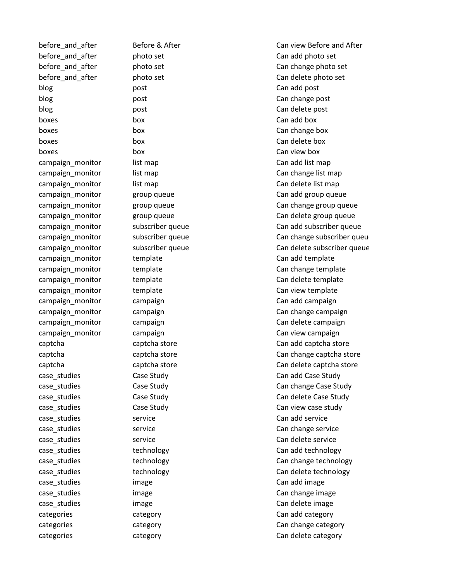blog extensive post that the post of the can add post that the can add post that the post of the can add post blog post post can change post contained blog blog post post can delete post can delete post boxes box box can add box boxes box box box **Can change box** boxes box box box can delete box boxes box box can view box can view box campaign\_monitor list map campaign\_monitor list map can add list map campaign monitor template can be can add template case\_studies extraordinary service case\_studies can add service case studies image in the case of the can add image case of the can add image can add image case\_studies image Can delete image categories category Can add category

before\_and\_after Before & After Can view Before and After before and after photo set Can add photo set Can add photo set before and after photo set before and after photo set can change photo set before and after entitled photo set can contain the Can delete photo set campaign\_monitor list map campaign can change list map can change list map campaign\_monitor list map campaign\_monitor list map can delete list map campaign monitor expression group queue campaign can add group queue campaign\_monitor error group queue campaign\_monitor can change group queue campaign\_monitor group queue Can delete group queue campaign monitor subscriber queue can add subscriber queue Can add subscriber queue campaign\_monitor subscriber queue can change subscriber queue can change subscriber queue campaign\_monitor subscriber queue Can delete subscriber queue campaign\_monitor template Can change template campaign\_monitor template campaign\_monitor template campaign\_monitor template campaign\_monitor template campaign\_monitor campaign campaign Can add campaign campaign monitor campaign campaign campaign Can change campaign campaign\_monitor campaign campaign Can delete campaign campaign\_monitor campaign Can view campaign captcha captcha store Can add captcha store captcha captcha captcha store Can change captcha store Can change captcha store captcha captcha store Can delete captcha store case studies Case Study Case Study Can add Case Study case\_studies Case Study Can change Case Study case studies Case Study Case Study Case Can delete Case Study case\_studies Case Study Can view case study case studies expression is service cases and can change service case\_studies service Can delete service case studies the entity of the technology can add technology case studies example technology case technology can change technology case\_studies technology Can delete technology case studies image image case in the can change image categories category category category Can change category categories category Can delete category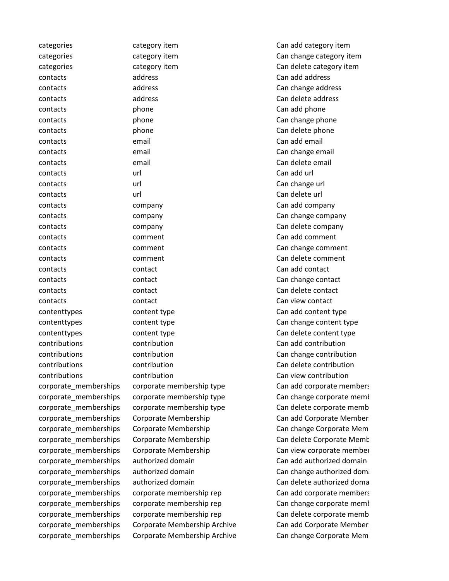categories **category item** Can change category item category item categories category item Can delete category item contacts address and address contacts contacts and address and address contacts can add address contacts address Can change address contacts address Can delete address contacts **phone phone Can add phone Can add phone** contacts **phone** phone Can change phone Can change phone contacts **phone** phone **Can delete phone Can delete phone** contacts email Can add email contacts email Can change email contacts email Can delete email contacts and url Can add url Can add url Can add url Can add url Can add url Can add url Can add url Can add url Can add url Can add url Can add url Can add url Can add url Can add url Can add url Can add url Can add url C contacts **url** url contacts url can change url can change url can change url can change url contacts and contacts and contacts url Can delete url Can delete url Can delete url Can delete url Can delete contacts company company Can add company contacts company company Can change company contacts company Can delete company contacts comment comment Can add comment contacts comment comment comment can change comment contacts comment comment Can delete comment contacts contact Can add contact contacts contact contact contact can change contact contact can change contact contacts contact Can delete contact contacts contact Can view contact contenttypes content type Can add content type contenttypes content type content type Can change content type contenttypes content type Can delete content type contributions contribution Can add contribution contributions contribution Can change contribution contributions contribution Can delete contribution contributions contribution Can view contribution corporate memberships authorized domain Can add authorized domain corporate\_memberships authorized domain Can delete authorized domain corporate\_memberships corporate membership rep Can delete corporate memb

categories category item Can add category item corporate\_memberships corporate membership type Can add corporate members corporate\_memberships corporate membership type Can change corporate membership type corporate\_memberships corporate membership type Can delete corporate memb corporate\_memberships Corporate Membership Can add Corporate Membership corporate memberships Corporate Membership Can change Corporate Mem corporate\_memberships Corporate Membership Can delete Corporate Memb corporate\_memberships Corporate Membership Can view corporate member corporate\_memberships authorized domain corporate Can change authorized domain corporate\_memberships corporate membership rep Can add corporate members corporate\_memberships corporate membership rep Can change corporate membership rep corporate memberships Corporate Membership Archive Can add Corporate Membership Archive corporate\_memberships Corporate Membership Archive Can change Corporate Mem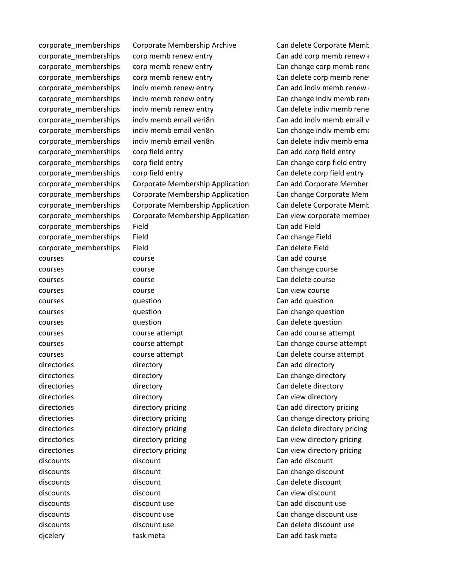corporate memberships Corporate Membership Archive Can delete Corporate Memb corporate\_memberships corp memb renew entry  $\Box$  Can add corp memb renew  $\epsilon$ corporate memberships corp memb renew entry Can change corp memb rene corporate memberships corp memb renew entry Can delete corp memb renew corporate\_memberships indiv memb renew entry Can add indiv memb renew entry corporate\_memberships indiv memb renew entry entry Can change indiv memb rene corporate memberships indiv memb renew entry Can delete indiv memb rene corporate memberships indiv memb email veri8n Can add indiv memb email veri corporate memberships indiv memb email veri8n Can change indiv memb email veriance indiv memb email veriance i corporate\_memberships indiv memb email veri8n Can delete indiv memb email corporate\_memberships corp field entry Can add corp field entry corporate\_memberships corp field entry entries and corporate corp field entry corporate\_memberships corp field entry enterstanding corporate corp field entry corporate\_memberships Corporate Membership Application Can add Corporate Membership Application corporate memberships Corporate Membership Application Can change Corporate Mem corporate\_memberships Corporate Membership Application Can delete Corporate Memb corporate\_memberships Corporate Membership Application Can view corporate member corporate memberships Field Can add Field Can add Field corporate\_memberships Field Can change Field corporate\_memberships Field Can delete Field Can delete Field courses course Can add course courses course course course course course course course course course course course course courses course Can delete course courses course course course Can view course course course course course course course course course course course courses and question courses and question courses and question can add question courses **courses** courses **question Can change question Can change question** courses **courses courses courses courses courses courses contract contract contract contract contract contract contract contract contract contract contract contract contract** courses course attempt Can add course attempt courses course attempt Can change course attempt courses course attempt Can delete course attempt directories directory directory can add directory control of the control of the control of the control of the control of the control of the control of the control of the control of the control of the control of the control directories directory Can change directory directories directory directory can delete directory directories directory directory **Can view directory Can view directory** directories **directory pricing** Can add directory pricing directories directory pricing Can change directory pricing directories **directory pricing** Can delete directory pricing directories **directory pricing** Can view directory pricing directories directory pricing Can view directory pricing discounts discount Can add discount discounts discount discount can change discount can change discount can change discount discounts discount discount can delete discount discount discount can delete discount discounts discount Can view discount discounts discount use Can add discount use discounts discount use Can change discount use discounts discount use Can delete discount use djcelery **task meta** Can add task meta Can add task meta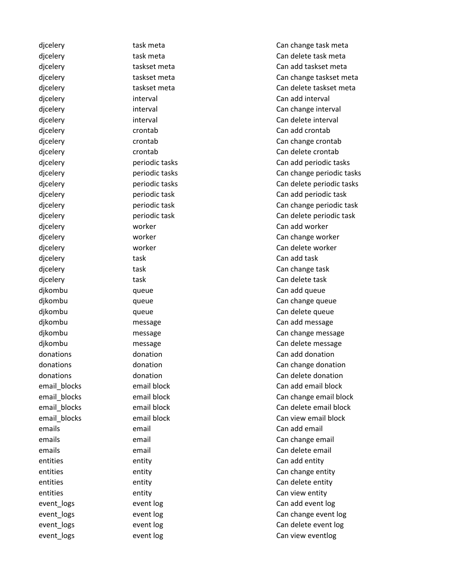djcelery task meta Can change task meta djcelery **task meta** Can delete task meta Can delete task meta djcelery taskset meta Can add taskset meta djcelery taskset meta Can change taskset meta djcelery taskset meta Can delete taskset meta djcelery interval interval Can add interval djcelery interval interval can change interval djcelery interval interval can delete interval djcelery **crontab** Can add crontab Can add crontab djcelery **crontab** crontab Can change crontab djcelery **crontab** Can delete crontab Can delete crontab djcelery periodic tasks Can add periodic tasks djcelery **periodic tasks Can change periodic tasks** Can change periodic tasks djcelery **periodic tasks** Can delete periodic tasks Can delete periodic tasks djcelery **periodic task** Can add periodic task Can add periodic task djcelery entitled by periodic task Can change periodic task Can change periodic task djcelery **periodic task** Can delete periodic task Can delete periodic task djcelery entity worker worker Can add worker Can and worker djcelery **worker** worker **Can change worker** Can change worker djcelery worker worker Can delete worker djcelery **task** task Can add task Can add task Can add task Can add task Can add task Can add task Can add task djcelery **task** Can change task Can change task Can change task Can change task Can change task djcelery **task** Can delete task Can delete task Can delete task djkombu queue Can add queue djkombu queue queue Can change queue djkombu queue Can delete queue djkombu message Can add message djkombu message Can change message Can change message djkombu message Can delete message donations **donation** constants donation **Can add donation** donations donation donation can change donation control of the canonic can change donation donations donation donation can delete donation email blocks email block email block Can add email block email blocks email block Can change email block email\_blocks email block email block Can delete email block email\_blocks email block email block Can view email block emails email Can add email emails email email can change email email by the can change email can change email emails email Can delete email entities entity entity can add entity control of the can add entity entities entity entity entity can change entity entities entity entity entity can delete entity entities entity entity can view entity event logs event log can add event log can add event log event logs event log communities event log can change event log event\_logs event log communication event log can delete event log event logs event log communities event log can view eventlog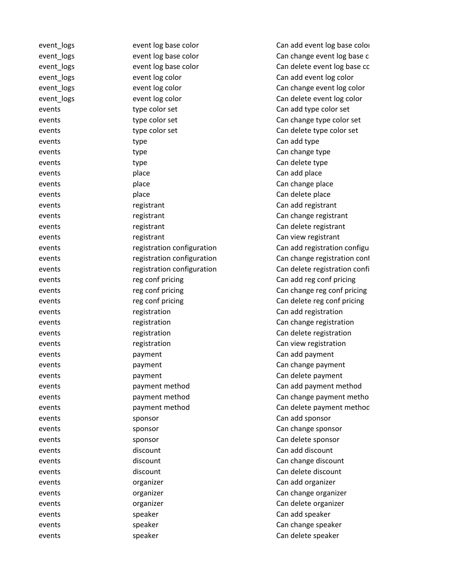event logs event log base color controlled base color can add event log base color events and type type the can add type can add type can add type the can add type events exerts type type the can change type can change type that the can change type of the can change type of the can change type of the can change type of the can change type of the can change type of the can change type events and type the can delete type the can delete type of the can delete type of the can delete type events **place** place **can add place Can add place Can add place** events entitled place that place the can change place control of the can change place events exercise place place place control of the Can delete place events registrant controller registrant controller and registrant can add registrant events registrant controller registrant can delete registrant events registrant Can view registrant events registration registration can add registration events exercise registration control can view registration control can view registration events **payment payment Can add payment Can add payment** events exercise payment control payment can change payment events payment Can delete payment events sponsor sponsor can add sponsor community sponsor can add sponsor events sponsor sponsor can change sponsor events sponsor sponsor can delete sponsor events discount Can add discount events exercise discount discount can change discount can change discount events discount discount can delete discount and  $\alpha$  and delete discount events **organizer** community organizer **Can add organizer** community can add organizer events organizer community organizer community can change organizer events organizer community organizer community can delete organizer events speaker Speaker Can add speaker Can and speaker events speaker speaker can change speaker speaker speaker

event\_logs event log base color color can change event log base color event logs event log base color color can delete event log base color event logs event log color color Can add event log color event\_logs event log color event log color can change event log color event logs event log color event log color can delete event log color events type color set Can add type color set Can add type color set events exercise type color set Can change type color set Can change type color set events type color set Can delete type color set Can delete type color set events registrant registrant can change registrant events **registration configuration** Can add registration configuration configuration contiguration contiguration events exercise registration configuration configuration Can change registration configuration events registration configuration configuration Can delete registration confi events **reg conf pricing can add reg conf pricing Can add reg conf pricing** events exercise reg conf pricing and can change reg conf pricing confusion of pricing confusion of  $\Gamma$ events exercise reg conf pricing the can delete reg conf pricing can delete reg conf pricing events registration control can change registration control control can change registration events registration registration can delete registration events payment method Can add payment method events payment method Can change payment method events payment method Can delete payment method events entitled speaker and the speaker can delete speaker speaker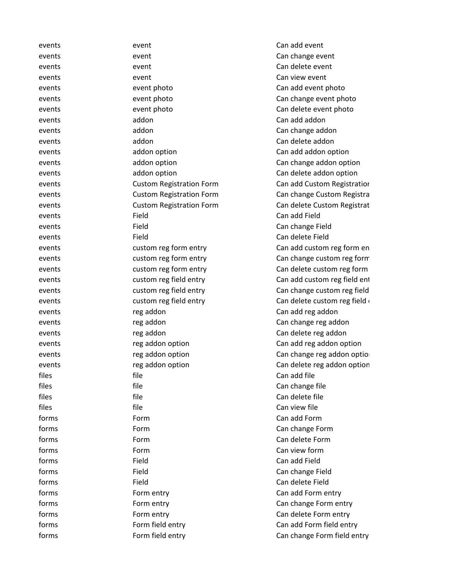events event event event can add event events event event event can change event events event Can delete event events event event event can view event events event photo event photo can add event photo events addon addon communications and addon communications of the can add addon events addon addon change addon change addon change addon events addon Can delete addon events addon option Can add addon option events Field Can add Field events Field **Field** Can change Field events Field Field Can delete Field events exercise reg addon exercise regard regard regard regard regular regard regard regard regard regard rega events exercise reg addon exercise reg addon and can change reg addon events reg addon exercise regaddon and can delete reg addon files and the contract of the contract of the Can add file contract of the Can add file files file Can change file files file Can delete file files and file the file can view file the can view file the can view file the can view file forms Form Can add Form forms Form Can change Form forms Form Can delete Form forms Form Can view form forms Field Can add Field forms Field Field **Field** Can change Field forms Field Can delete Field forms Form entry Can add Form entry forms Form entry Can delete Form entry

events event photo Can change event photo events event photo event photo can delete event photo events addon option contains and can change addon option contains the can change addon option events addon option contains a can delete addon option and the can delete addon option events Custom Registration Form Can add Custom Registration Form events Custom Registration Form Can change Custom Registration Form events **CUST CENTED CUST CONTAINER CAN CAN CAN CAN DEAL CONTEX CAN DEAL CONTEX CAN CAN CAN CONTEX CONTEX CONTE** events entry custom reg form entry can add custom reg form entry can add custom reg form entry events entry custom reg form entry contained the Can change custom reg form events exercise custom reg form entry and can delete custom reg form entry exercise to the custom reg form entry events exercise custom reg field entry exercise that can add custom reg field entry events entries that custom reg field entry and contained can change custom reg field entries and containing the containing containing field entries are contained as  $\alpha$  contained by containing containing the contained by events custom reg field entry can delete custom reg field entry events reg addon option Can add reg addon option events reg addon option Can change reg addon option events reg addon option Can delete reg addon option forms Form entry Form entry Can change Form entry forms **Form field entry Form field entry Can add Form field entry** forms **Form field entry Form field entry Can change Form field entry**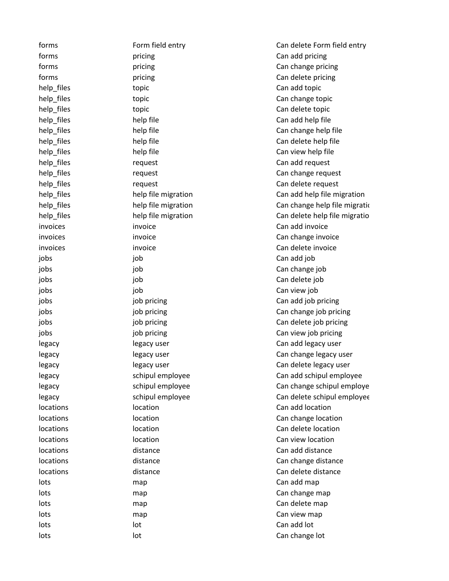forms **pricing pricing pricing can add pricing Can add pricing** forms **pricing** pricing **pricing can change pricing can** change pricing forms pricing Can delete pricing help\_files topic topic can add topic can add topic help\_files topic topic can change topic contract to the contract of the can change topic help files topic topic can delete topic contracts of the contracts of the can delete topic help\_files help file can add help file can add help file help files help file help file can change help file help files help file help file can delete help file help\_files help file help file can view help file help\_files request request Can add request help\_files request can change request can change request help\_files request request can delete request invoices invoice invoice invoice can add invoice invoices invoice invoice involution involution of the Can change invoice involution in the can change involution of the contract of the contract of the contract of the contract of the contract of the contract of the contra invoices invoice Can delete invoice jobs job Can add job jobs job Can change job jobs job Can delete job jobs job Can view job jobs job pricing in the same of the pricing can add job pricing jobs job pricing in the can view job pricing in the canonic value of the canonic value of the pricing in the canonic value of the canonic value of the canonic value of the canonic value of the canonic value of the canonic legacy legacy user Can add legacy user locations location Can add location locations location Can change location locations location Can delete location locations location Can view location locations distance Can add distance locations distance Can change distance locations distance Can delete distance lots and map contract map contract the can add map contract of the can add map contract of the map contract of the map contract of the map contract of the map contract of the map contract of the map contract of the map con lots and map contract map contract map contract the canonic can change map lots and map contract map can delete map can delete map lots and map control map control map can view map can view map lots and lot control of lot control of can add lot control of can add lot control of can add lot control of can add lot control of can add lot control of can add lot control of control of control of control of control of c lots and lot lot can change lot can change lot can change lot can change lot can change lot can change lot can change lot can change lot can change lot can change lot can change lot can change in  $\alpha$ 

forms Form field entry Can delete Form field entry help files help file migration can add help file migration help\_files help file migration and can change help file migration help\_files help file migration Can delete help file migration jobs job pricing Can change job pricing jobs job pricing in the set of the pricing states of the can delete job pricing legacy and legacy user Can change legacy user Can change legacy user legacy and legacy user can can delete legacy user can delete legacy user legacy schipul employee Can add schipul employee legacy schipul employee Can change schipul employee legacy schipul employee Can delete schipul employee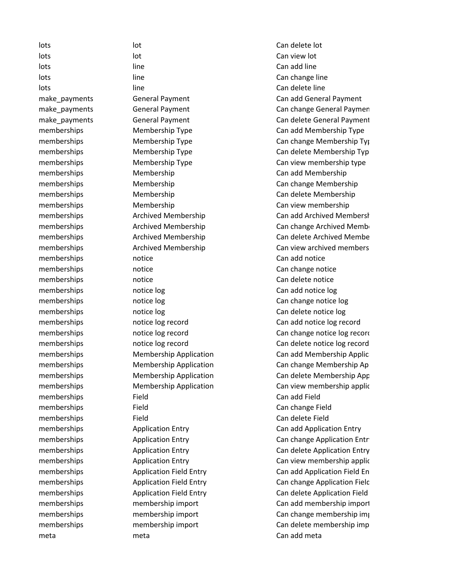lots lot Can delete lot lots and lot can view lot can view lot can view lot can view lot can view lot can view lot can view lot can view lot lots line Can add line lots and can change line control can change line can change line **lots** line line can delete line memberships Membership Can add Membership memberships Membership Can delete Membership memberships Membership Can view membership memberships **notice** and notice **Can add notice Can add notice Can add notice** memberships notice notice Can change notice Can change notice memberships notice notice can delete notice can delete notice memberships notice log can add notice log can add notice log memberships notice log can change notice log can change notice log memberships motice log can delete notice log can delete notice log memberships Field **Field** Can add Field memberships Field **Field** Can change Field memberships Field **Field** Can delete Field meta meta Can add meta

make payments General Payment Can add General Payment make payments General Payment Can change General Payment make\_payments General Payment Can delete General Payment memberships Membership Type Can add Membership Type memberships Membership Type Can change Membership Type memberships Membership Type Can delete Membership Type memberships Membership Type Can view membership type memberships Membership Can change Membership memberships Archived Membership Can add Archived Membership memberships **Archived Membership** Can change Archived Membership memberships Archived Membership Can delete Archived Membership memberships **Archived Membership** Can view archived members memberships notice log record Can add notice log record memberships notice log record Can change notice log record memberships notice log record Can delete notice log record memberships Membership Application Can add Membership Applic memberships Membership Application Can change Membership Application memberships Membership Application Can delete Membership Application memberships Membership Application Can view membership applic memberships The Application Entry Can add Application Entry memberships **Application Entry** Can change Application Entr memberships **Application Entry** Can delete Application Entry memberships The Application Entry Theorem Can view membership application Entry memberships **Application Field Entry Can add Application Field Entry Can add Application Field En** memberships **Application Field Entry Can change Application Field** Entry memberships **Application Field Entry Can delete Application Field** Entry memberships membership import Can add membership import memberships membership import Can change membership import memberships membership import Can delete membership import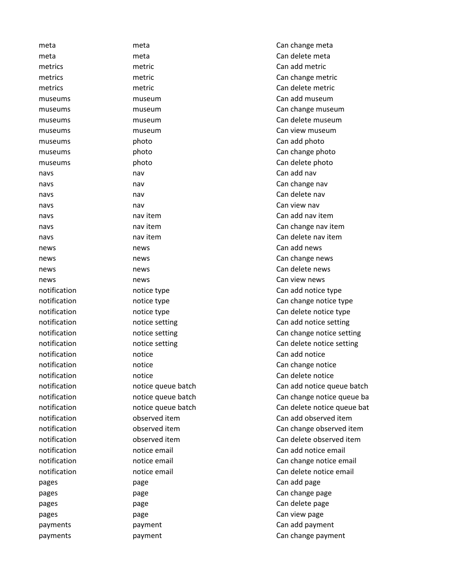meta meta Can delete meta metrics and metric metric can add metric can add metric can add metric can add metric metrics metric Can delete metric museums museum Can add museum museums **photo photo can add photo Can add photo** museums **photo** photo can delete photo can delete photo navs nav Can add nav navs and control of the nav control of the nav control of the nav can change nav navs and the nav can delete nav and the nav can delete nav navs and the contract of the contract of the contract of the contract of the contract of the contract of the contract of the contract of the contract of the contract of the contract of the contract of the contract of the c navs and the matrix of the matrix of the matrix of the matrix of the matrix of the matrix of the matrix of the m news **news** news **news** and the news **Can add news news news news news** news **news** news news **Can change news** news **news** news news **Can delete news** news **news** news example the news news can view news notification **notice** and notice can add notice **Can add notice** can add notice can add notice notification **notice** and notice can delete notice pages and page page page can add page page and page and page and page can add page pages bagge page page can change page page and can change page pages and page page page can delete page pages and page page page can view page page and page of the can view page payments bayment payment can add payment

meta meta Can change meta metrics metric metric can change metric can change metric museums museum museum can change museum museums museum Can delete museum museums museum Can view museum museums **photo** photo **Can change photo Can change photo Can change photo** navs and the manufacture of the canonic method of the canonic method of the canonic method of the nav item nav navs and the management of the management of the management of the can delete nav item notification and notice type can add notice type can add notice type notification and intervention notice type and the Can change notice type notification and interest in the notice type can delete notice type can delete notice type notification motice setting notice setting can add notice setting notification and notice setting and notice setting can change notice setting notification motice setting notice setting notification can delete notice setting notification **notice** and control notice can change notice can change notice can change notice notification **notice queue batch** Can add notice queue batch notification **notice** is notice queue batch can change notice queue batch notification notification **notice** notice queue batch and the Can delete notice queue batch can delete notice queue bat notification **observed item** Can add observed item notification **observed item** and the can change observed item notification **observed item** contract of the Can delete observed item notification and notice email can add notice email can add notice email notification and intervention in the email can change notice email can change notice email notification **notice email** can delete notice email contracts of the contract of the notice email payments bayment can change payment payment can change payment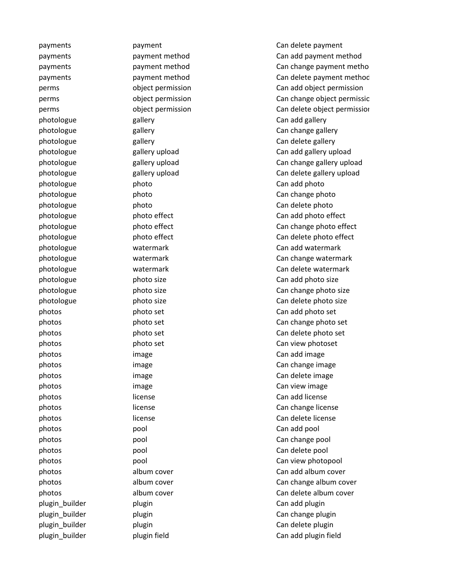photologue and gallery gallery can add gallery photologue photo Can add photo photos image image can add image can add image photos **can add license** can add license can add license photos **photos** pool photos **pool** photos **Can add pool** plugin\_builder **plugin** plugin can add plugin can add plugin

payments payment Can delete payment payments payment method Can add payment method payments payment method Can change payment method payments payment method Can delete payment method perms object permission Can add object permission perms object permission Can change object permission perms object permission Can delete object permission photologue example and gallery can change gallery can change gallery photologue and gallery gallery can delete gallery photologue gallery upload Can add gallery upload photologue gallery upload Can change gallery upload photologue gallery upload Can delete gallery upload photologue photo Can change photo photologue **photo** photo **Can delete photo** Can delete photo photologue **photo effect** can add photo effect photologue **photo effect** photo effect can change photo effect photologue **photo effect** photo effect can delete photo effect photologue watermark Can add watermark photologue **bigger watermark** Can change watermark photologue watermark Can delete watermark photologue photo size Can add photo size photologue **photo size** photo size **Can change photo size** can change photo size photologue **photo** size photo size can delete photo size photos **photo set** photo set **Can add photo set** Can and photo set photos **photo set** photo set **Can change photo set** Can change photo set photos photo set can delete photo set can delete photo set can delete photo set photos **photo set** photo set Can view photoset photos image image can change image can change image photos image image can delete image photos image image can view image can view image photos and license can change license can change license photos bicense can delete license can delete license can delete license photos **pool** photos **pool Can change pool Can change pool** photos **pool** pool pool **Can delete pool Can delete pool** photos **pool** pool photos **pool** photopool **Can view photopool** photos album cover album cover Can add album cover photos album cover album cover can change album cover photos album cover album cover can delete album cover plugin\_builder plugin Can change plugin plugin builder plugin plugin can delete plugin plugin\_builder plugin field Can add plugin field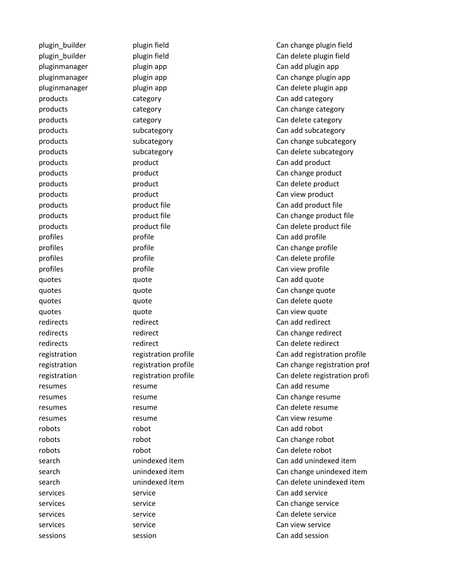products product product can add product can add product can add product can add product profiles **profile** profile **profile profile Can add profile Can add profile** profiles **profile** profile **can view profile Can view profile Can view profile** quotes and quote quote can add quote quote can add quote can add quote can add quote quote can add quote can add quote can add quote can add quote can add quote can add quote can add quote can add quote can add quote can a quotes and quote quote can view quote quote can view quote can view quote quote can view quote redirects redirect redirect Can add redirect resumes resume resume can add resume can add resume can add resume can add resume robots robot Can add robot services service service can add service services and service contracts of the service can view service can view service sessions session Can add session

plugin\_builder plugin field Can change plugin field plugin\_builder plugin field Can delete plugin field pluginmanager plugin app Can add plugin app pluginmanager and plugin app plugin app can change plugin app pluginmanager plugin app Can delete plugin app products category category can be can add category can according to the can add category products category category Can change category can change category can change category products and category category can be category can delete category can delete category products subcategory can add subcategory can add subcategory products subcategory can change subcategory can change subcategory products subcategory can delete subcategory contains the subcategory contains the subcategory products **product** product **can change product Can change product Can change product** products product product product can delete product products **product** product **can view product Can view product** products product file can add product file can add product file products product file product file can change product file products product file product file can delete product file profiles **profile profile profile can change profile Can change profile** profiles **profile** profile **can delete profile Can delete profile** quotes and control quote can change quote can change quote can change quote can change quote quotes and quote quote can delete quote can delete quote can delete quote can delete quote redirects redirect redirect can change redirect redirect redirect redirect redirect redirect redirect redirect redirects redirect Can delete redirect registration **registration profile** Can add registration profile **Can and registration profile** registration **registration** profile **registration** can change registration prof registration **registration** profile **Can delete registration profile** can delete registration profi resumes resume resume resume can change resume resume resume resume can change resume resumes resume resume can delete resume can delete resume can delete resume resumes resume Can view resume robots robot robot can change robot can change robot can change robot can change robot can change robot can change robot can change robot can change robot can change robot can change robot can change robot can change robot robots robot Can delete robot search unindexed item Can add unindexed item search **Example 20** unindexed item **Can change unindexed item** Can change unindexed item search unindexed item Can delete unindexed item services service service can change service can change service services service service can delete service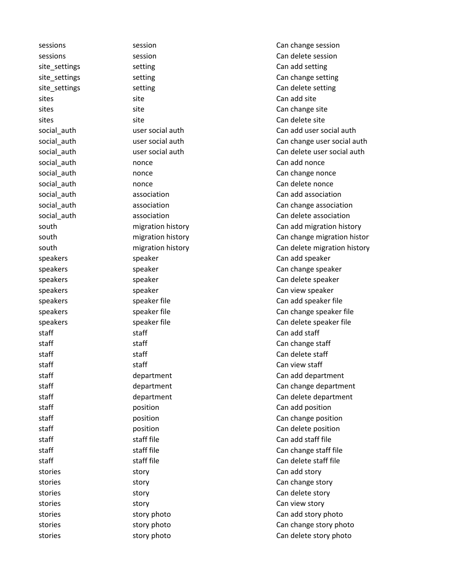sessions session session can delete session can delete session site\_settings setting setting can add setting can add setting site\_settings setting setting can delete setting sites site Can add site sites site site can change site Can change site can change site can change site can change site sites site can delete site can delete site can delete site can delete site social auth **nonce** and nonce **Can add nonce** Can add nonce social\_auth nonce can change nonce can change nonce social\_auth nonce and can delete nonce can delete nonce speakers speaker speaker Can add speaker Can add speaker speakers speaker speaker can view speaker speaker speaker speaker can view speaker staff staff staff staff can add staff states and staff states of the can add staff states of the states of the c staff staff staff staff states and staff states of the can change staff states and states staff states and sta staff states and staff states staff states and states staff states and states staff states and states staff states and states and states and states and states and states and states and states and states and states and stat staff staff staff staff staff states and staff states of the can view staff states staff states and states sta staff **provides** position **provides provides provides can add position** staff staff file Can add staff file stories story story can add story can add story can add story can add story stories story story story can change story stories story story can delete story control of the story can delete story can delete story stories and story story can view story story can view story

sessions session Can change session site\_settings setting setting setting can change setting social auth user social auth can add user social auth contact auth can add user social auth social auth user social auth can change user social auth Can change user social auth social auth user social auth can delete user social auth Can delete user social auth social auth association association can add association social\_auth association contains a second association can change association social auth association association can delete association south migration history Can add migration history south migration history can change migration history control of the matrix of the migration histor south migration history and the Can delete migration history control of the migration history speakers speaker speaker can change speaker can change speaker speakers speaker speaker Can delete speaker Can delete speaker speakers speaker file can add speaker file speaker file speaker file can add speaker file speakers speaker file can change speaker file speaker file can change speaker file speakers speaker file can be can delete speaker file speaker file speaker file speaker file staff department Can add department staff department department Can change department staff department department Can delete department staff examples a position control of the can change position can change position staff **position** position **properties can delete position** staff staff file staff file staff file can change staff file staff staff file staff file staff file staff file staff file staff file staff file stories story photo story photo can add story photo stories story photo story photo can change story photo stories story photo can delete story photo can delete story photo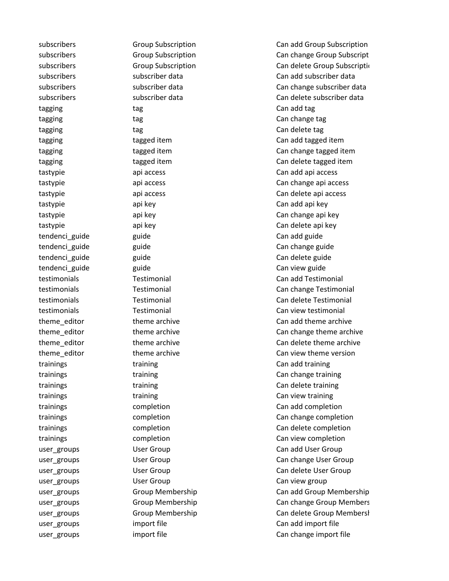tagging tag Can add tag tagging tag can change tag can change tag can change tag can change tag tagging tag Can delete tag tastypie api access can add api access can add api access can add api access tastypie api key Can add api key Can add api key Can add api key Can add api key tastypie api key Can change api key tastypie api key api key Can delete api key Can delete api key Can delete api key tendenci\_guide guide guide can add guide Can and guide tendenci guide guide guide can change guide tendenci guide guide guide can delete guide tendenci guide guide guide can view guide Can view guide trainings training training training training can add training trainings training training training can delete training trainings training training training training can view training user\_groups 
and User Group 
and User Can view group user\_groups import file can add import file can add import file

subscribers Group Subscription Can add Group Subscription subscribers Group Subscription Can change Group Subscription subscribers Group Subscription Can delete Group Subscription subscribers subscriber data Can add subscriber data subscribers subscriber data Can change subscriber data subscribers subscriber data Can delete subscriber data tagging tagged item tagged item can add tagged item tagging tagged item tagged item can change tagged item tagging tagged item tagged item Can delete tagged item tastypie api access Can change api access tastypie api access Can delete api access testimonials Testimonial Can add Testimonial testimonials Testimonial Can change Testimonial testimonials Testimonial Can delete Testimonial testimonials Testimonial Can view testimonial theme\_editor theme archive can add theme archive theme\_editor theme archive can change theme archive can change theme archive theme\_editor theme archive can delete theme archive theme\_editor theme\_enchive theme can view theme version trainings training training training training can change training trainings completion Can add completion trainings completion completion completion completion can change completion trainings completion Can delete completion trainings completion Can view completion user\_groups The User Group Can add User Group user\_groups The User Group Can change User Group Can change User Group user\_groups 
and User Group 
and the User Group 
and the User Group 
and the User Group user\_groups Group Membership Can add Group Membership user\_groups Group Membership Can change Group Membership Can change Group Members user\_groups Group Membership Can delete Group Membership user\_groups import file import file can change import file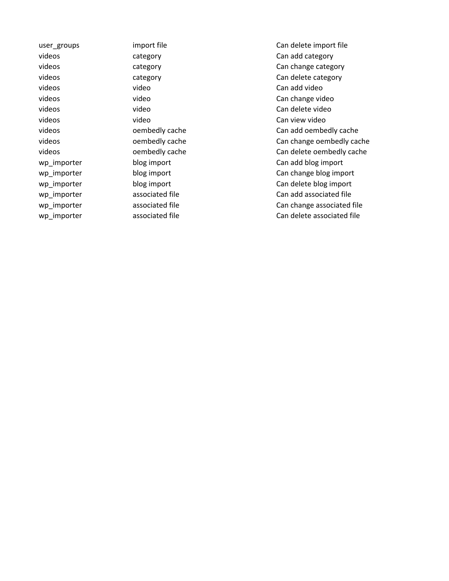videos video Can add video videos video video video can view video components video components and video video video video video video vi

user\_groups import file import file can delete import file videos category category can add category videos category category category can change category can change videos category category care category can delete category videos video Can change video videos video Can delete video videos oembedly cache Can add oembedly cache Can add oembedly cache videos oembedly cache can change oembedly cache can change of can change oembedly cache videos oembedly cache Can delete oembedly cache Can delete oembedly cache wp\_importer blog import blog import Can add blog import wp\_importer blog import blog import Can change blog import wp\_importer blog import blog import can delete blog import wp importer associated file associated file Can add associated file wp\_importer associated file and can change associated file wp\_importer associated file associated file can delete associated file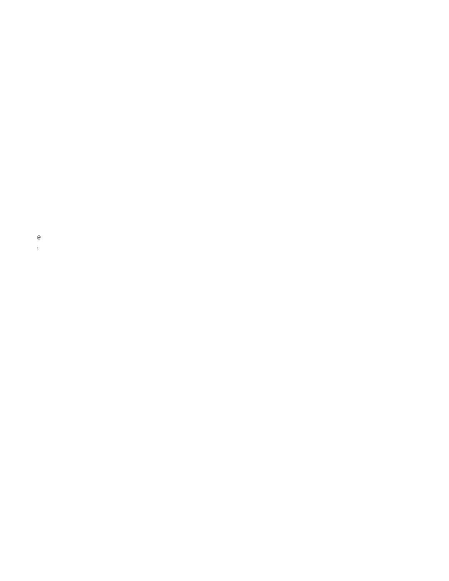Can change subscriber queue

Can delete subscriber queue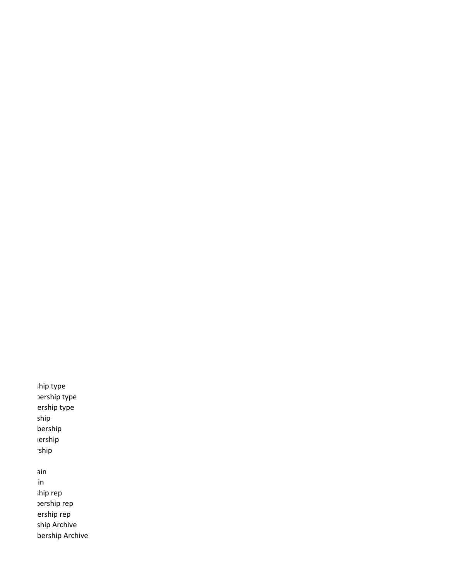ship type pership type ership type ship bership vership cship

ain Can delete authorized domain ship rep pership rep ership rep ship Archive bership Archive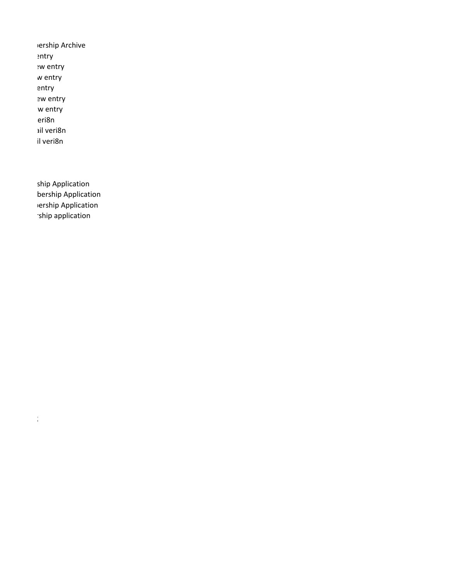Jership Archive entry ew entry w entry entry ew entry w entry eri8n ail veri8n il veri8n

ship Application bership Application Jership Application ship application

Can change directory pricing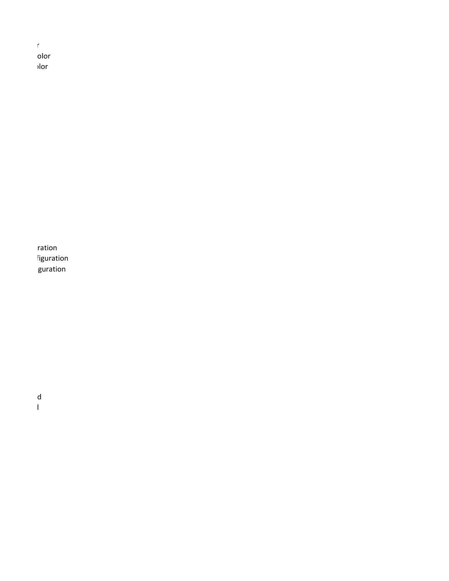Can add event log base color olor dor

> ration figuration **guration**

Can change payment method Can delete payment method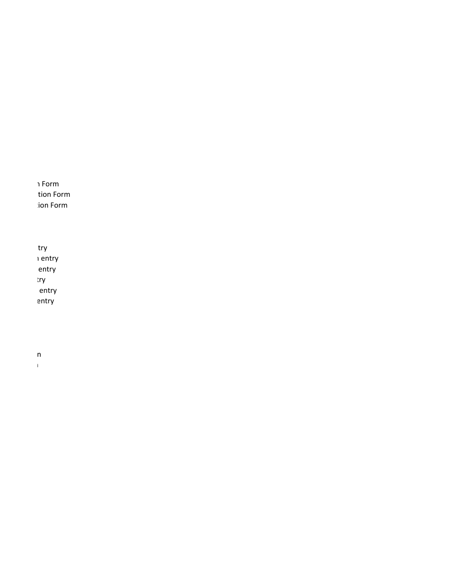ገ Form tion Form  $\sin$  Form

try n entry entry try entry entry

Can change reg addon option

Can delete reg addon option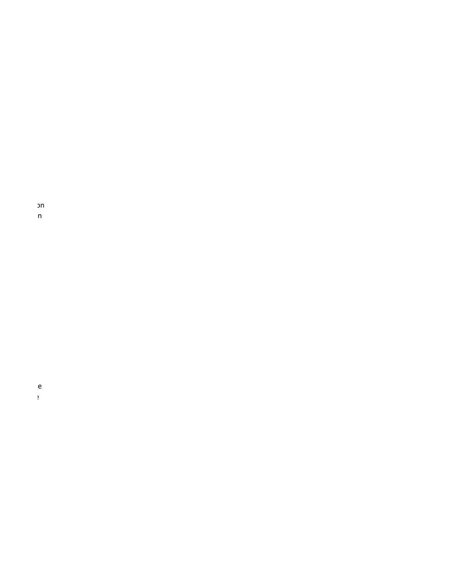Can change help file migration Can delete help file migration

Can change schipul employee Can delete schipul employee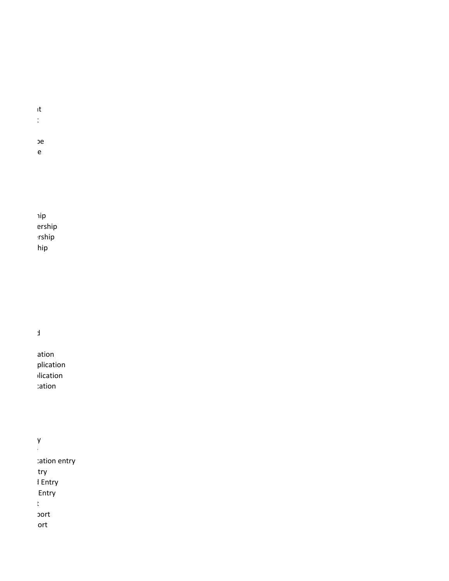Can change General Payment Can delete General Payment

Can change Membership Type Can delete Membership Type

 $rip$ ership rship hip

Can change notice log record

ation plication dication cation

Can change Application Entry

Can delete Application Entry cation entry try d Entry Entry Can add membership import oort ort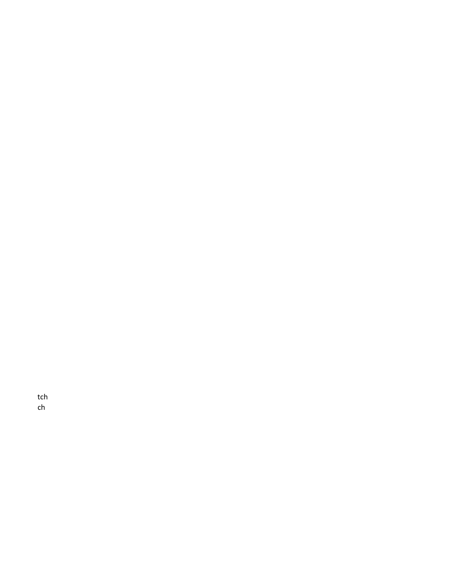tch Can delete notice queue batch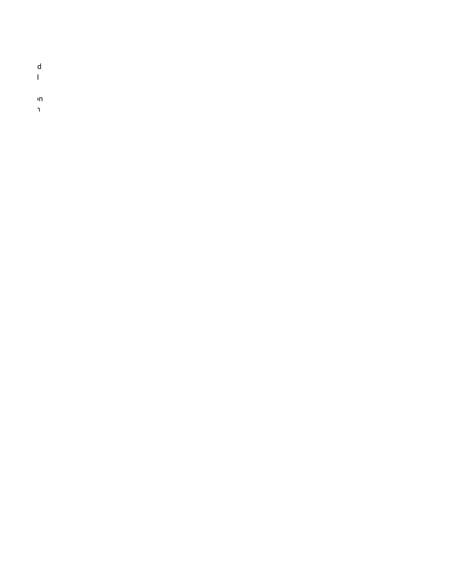- Can change payment method
- Can delete payment method
- Can change object permission
- Can delete object permission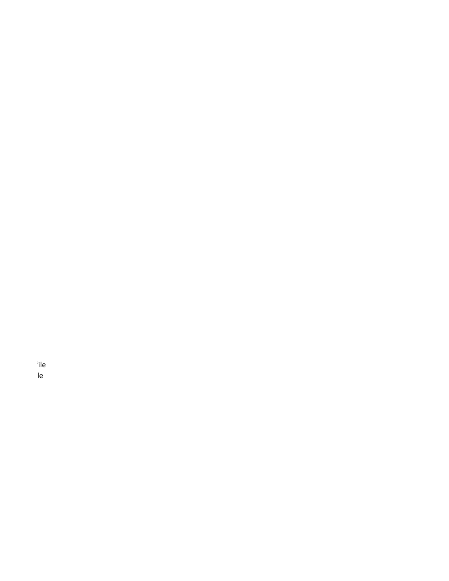ile<sup></sup> Can delete registration profile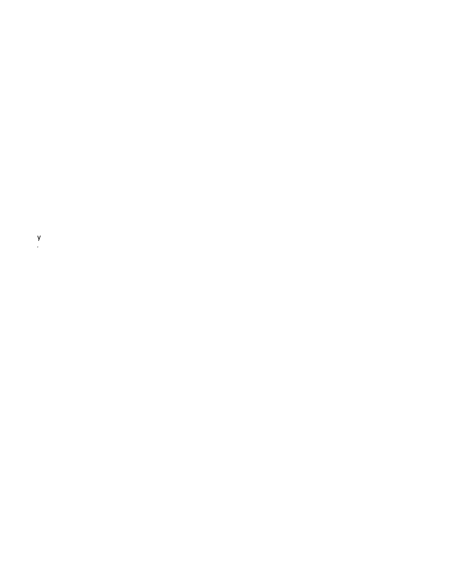Can change migration history

Can delete migration history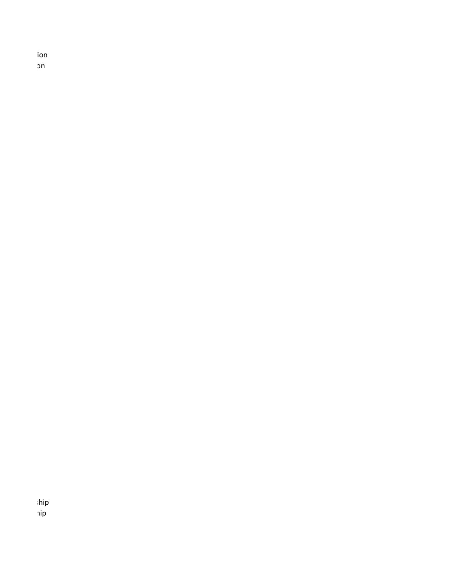ion Can delete Group Subscription

> $i$ hip hip